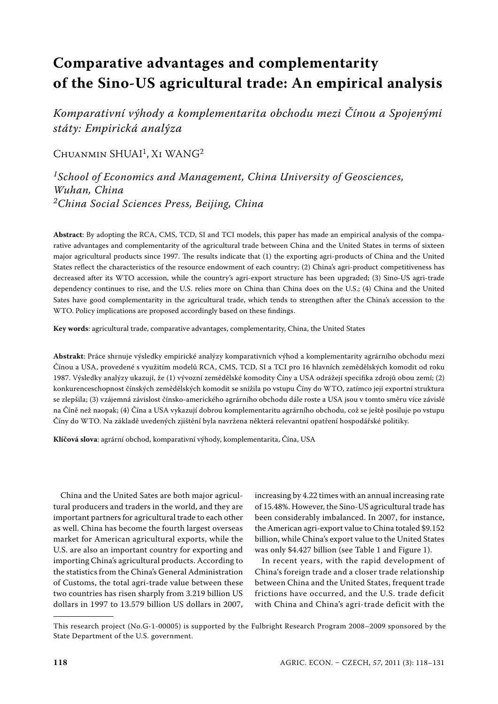# **Comparative advantages and complementarity of the Sino-US agricultural trade: An empirical analysis**

*Komparativní výhody a komplementarita obchodu mezi Čínou a Spojenými státy: Empirická analýza*

CHUANMIN SHUAI<sup>1</sup>, XI WANG<sup>2</sup>

*1School of Economics and Management, China University of Geosciences, Wuhan, China 2China Social Sciences Press, Beijing, China*

**Abstract**: By adopting the RCA, CMS, TCD, SI and TCI models, this paper has made an empirical analysis of the comparative advantages and complementarity of the agricultural trade between China and the United States in terms of sixteen major agricultural products since 1997. The results indicate that (1) the exporting agri-products of China and the United States reflect the characteristics of the resource endowment of each country; (2) China's agri-product competitiveness has decreased after its WTO accession, while the country's agri-export structure has been upgraded; (3) Sino-US agri-trade dependency continues to rise, and the U.S. relies more on China than China does on the U.S.; (4) China and the United Sates have good complementarity in the agricultural trade, which tends to strengthen after the China's accession to the WTO. Policy implications are proposed accordingly based on these findings.

**Key words**: agricultural trade, comparative advantages, complementarity, China, the United States

**Abstrakt**: Práce shrnuje výsledky empirické analýzy komparativních výhod a komplementarity agrárního obchodu mezi Čínou a USA, provedené s využitím modelů RCA, CMS, TCD, SI a TCI pro 16 hlavních zemědělských komodit od roku 1987. Výsledky analýzy ukazují, že (1) vývozní zemědělské komodity Číny a USA odrážejí specifika zdrojů obou zemí; (2) konkurenceschopnost čínských zemědělských komodit se snížila po vstupu Číny do WTO, zatímco její exportní struktura se zlepšila; (3) vzájemná závislost čínsko-amerického agrárního obchodu dále roste a USA jsou v tomto směru více závislé na Číně než naopak; (4) Čína a USA vykazují dobrou komplementaritu agrárního obchodu, což se ještě posiluje po vstupu Číny do WTO. Na základě uvedených zjištění byla navržena některá relevantní opatření hospodářské politiky.

**Klíčová slova**: agrární obchod, komparativní výhody, komplementarita, Čína, USA

China and the United Sates are both major agricultural producers and traders in the world, and they are important partners for agricultural trade to each other as well. China has become the fourth largest overseas market for American agricultural exports, while the U.S. are also an important country for exporting and importing China's agricultural products. According to the statistics from the China's General Administration of Customs, the total agri-trade value between these two countries has risen sharply from 3.219 billion US dollars in 1997 to 13.579 billion US dollars in 2007,

increasing by 4.22 times with an annual increasing rate of 15.48%. However, the Sino-US agricultural trade has been considerably imbalanced. In 2007, for instance, the American agri-export value to China totaled \$9.152 billion, while China's export value to the United States was only \$4.427 billion (see Table 1 and Figure 1).

In recent years, with the rapid development of China's foreign trade and a closer trade relationship between China and the United States, frequent trade frictions have occurred, and the U.S. trade deficit with China and China's agri-trade deficit with the

This research project (No.G-1-00005) is supported by the Fulbright Research Program 2008–2009 sponsored by the State Department of the U.S. government.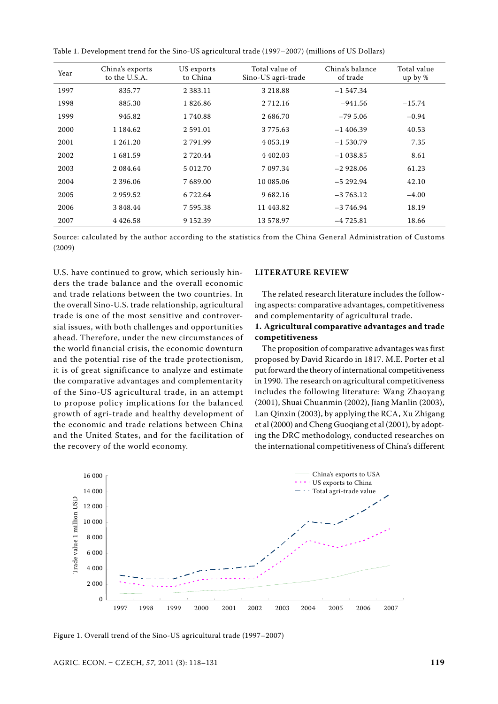Table 1. Development trend for the Sino-US agricultural trade (1997–2007) (millions of US Dollars)

| Year | China's exports<br>to the U.S.A. | US exports<br>to China | Total value of<br>Sino-US agri-trade | China's balance<br>of trade | Total value<br>up by $%$ |
|------|----------------------------------|------------------------|--------------------------------------|-----------------------------|--------------------------|
| 1997 | 835.77                           | 2 3 8 3 . 1 1          | 3 218.88                             | $-1547.34$                  |                          |
| 1998 | 885.30                           | 1826.86                | 2 7 1 2 . 1 6                        | $-941.56$                   | $-15.74$                 |
| 1999 | 945.82                           | 1740.88                | 2686.70                              | $-795.06$                   | $-0.94$                  |
| 2000 | 1 1 8 4 . 6 2                    | 2 591.01               | 3775.63                              | $-1406.39$                  | 40.53                    |
| 2001 | 1 261.20                         | 2791.99                | 4 0 5 3 . 1 9                        | $-1530.79$                  | 7.35                     |
| 2002 | 1681.59                          | 2 7 2 0.44             | 4 4 0 2 . 0 3                        | $-1038.85$                  | 8.61                     |
| 2003 | 2 0 8 4 . 6 4                    | 5 012.70               | 7 097.34                             | $-2928.06$                  | 61.23                    |
| 2004 | 2 396.06                         | 7689.00                | 10 085.06                            | $-5292.94$                  | 42.10                    |
| 2005 | 2959.52                          | 6 722.64               | 9 682.16                             | $-3763.12$                  | $-4.00$                  |
| 2006 | 3 848.44                         | 7595.38                | 11 443.82                            | $-3746.94$                  | 18.19                    |
| 2007 | 4 4 2 6 .58                      | 9 1 5 2 . 3 9          | 13 578.97                            | $-4725.81$                  | 18.66                    |

Source: calculated by the author according to the statistics from the China General Administration of Customs (2009)

U.S. have continued to grow, which seriously hinders the trade balance and the overall economic and trade relations between the two countries. In the overall Sino-U.S. trade relationship, agricultural trade is one of the most sensitive and controversial issues, with both challenges and opportunities ahead. Therefore, under the new circumstances of the world financial crisis, the economic downturn and the potential rise of the trade protectionism, it is of great significance to analyze and estimate the comparative advantages and complementarity of the Sino-US agricultural trade, in an attempt to propose policy implications for the balanced growth of agri-trade and healthy development of the economic and trade relations between China and the United States, and for the facilitation of the recovery of the world economy.

## **LITERATURE REVIEW**

The related research literature includes the following aspects: comparative advantages, competitiveness and complementarity of agricultural trade.

# **1. Agricultural comparative advantages and trade competitiveness**

The proposition of comparative advantages was first proposed by David Ricardo in 1817. M.E. Porter et al put forward the theory of international competitiveness in 1990. The research on agricultural competitiveness includes the following literature: Wang Zhaoyang (2001), Shuai Chuanmin (2002), Jiang Manlin (2003), Lan Qinxin (2003), by applying the RCA, Xu Zhigang et al (2000) and Cheng Guoqiang et al (2001), by adopting the DRC methodology, conducted researches on the international competitiveness of China's different



Figure 1. Overall trend of the Sino-US agricultural trade (1997–2007)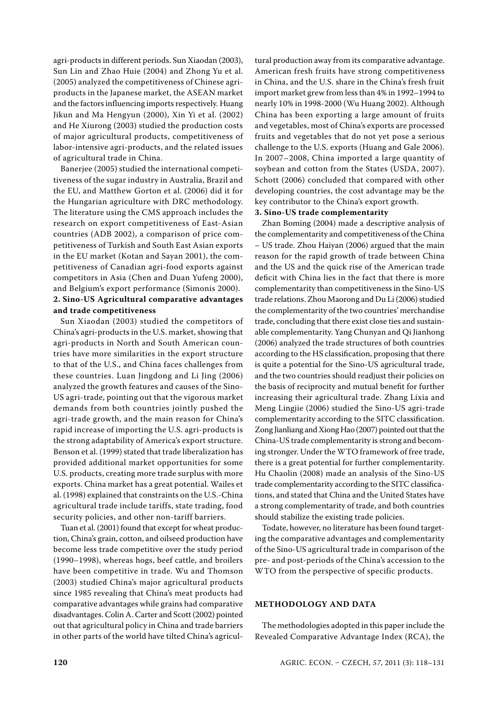agri-products in different periods. Sun Xiaodan (2003), Sun Lin and Zhao Huie (2004) and Zhong Yu et al. (2005) analyzed the competitiveness of Chinese agriproducts in the Japanese market, the ASEAN market and the factors influencing imports respectively. Huang Jikun and Ma Hengyun (2000), Xin Yi et al. (2002) and He Xiurong (2003) studied the production costs of major agricultural products, competitiveness of labor-intensive agri-products, and the related issues of agricultural trade in China.

Banerjee (2005) studied the international competitiveness of the sugar industry in Australia, Brazil and the EU, and Matthew Gorton et al. (2006) did it for the Hungarian agriculture with DRC methodology. The literature using the CMS approach includes the research on export competitiveness of East-Asian countries (ADB 2002), a comparison of price competitiveness of Turkish and South East Asian exports in the EU market (Kotan and Sayan 2001), the competitiveness of Canadian agri-food exports against competitors in Asia (Chen and Duan Yufeng 2000), and Belgium's export performance (Simonis 2000). **2. Sino-US Agricultural comparative advantages and trade competitiveness**

Sun Xiaodan (2003) studied the competitors of China's agri-products in the U.S. market, showing that agri-products in North and South American countries have more similarities in the export structure to that of the U.S., and China faces challenges from these countries. Luan Jingdong and Li Jing (2006) analyzed the growth features and causes of the Sino-US agri-trade, pointing out that the vigorous market demands from both countries jointly pushed the agri-trade growth, and the main reason for China's rapid increase of importing the U.S. agri-products is the strong adaptability of America's export structure. Benson et al. (1999) stated that trade liberalization has provided additional market opportunities for some U.S. products, creating more trade surplus with more exports. China market has a great potential. Wailes et al. (1998) explained that constraints on the U.S.-China agricultural trade include tariffs, state trading, food security policies, and other non-tariff barriers.

Tuan et al. (2001) found that except for wheat production, China's grain, cotton, and oilseed production have become less trade competitive over the study period (1990–1998), whereas hogs, beef cattle, and broilers have been competitive in trade. Wu and Thomson (2003) studied China's major agricultural products since 1985 revealing that China's meat products had comparative advantages while grains had comparative disadvantages. Colin A. Carter and Scott (2002) pointed out that agricultural policy in China and trade barriers in other parts of the world have tilted China's agricultural production away from its comparative advantage. American fresh fruits have strong competitiveness in China, and the U.S. share in the China's fresh fruit import market grew from less than 4% in 1992–1994 to nearly 10% in 1998-2000 (Wu Huang 2002). Although China has been exporting a large amount of fruits and vegetables, most of China's exports are processed fruits and vegetables that do not yet pose a serious challenge to the U.S. exports (Huang and Gale 2006). In 2007–2008, China imported a large quantity of soybean and cotton from the States (USDA, 2007). Schott (2006) concluded that compared with other developing countries, the cost advantage may be the key contributor to the China's export growth.

## **3. Sino-US trade complementarity**

Zhan Boming (2004) made a descriptive analysis of the complementarity and competitiveness of the China – US trade. Zhou Haiyan (2006) argued that the main reason for the rapid growth of trade between China and the US and the quick rise of the American trade deficit with China lies in the fact that there is more complementarity than competitiveness in the Sino-US trade relations. Zhou Maorong and Du Li (2006) studied the complementarity of the two countries' merchandise trade, concluding that there exist close ties and sustainable complementarity. Yang Chunyan and Qi Jianhong (2006) analyzed the trade structures of both countries according to the HS classification, proposing that there is quite a potential for the Sino-US agricultural trade, and the two countries should readjust their policies on the basis of reciprocity and mutual benefit for further increasing their agricultural trade. Zhang Lixia and Meng Lingjie (2006) studied the Sino-US agri-trade complementarity according to the SITC classification. Zong Jianliang and Xiong Hao (2007) pointed out that the China-US trade complementarity is strong and becoming stronger. Under the WTO framework of free trade, there is a great potential for further complementarity. Hu Chaolin (2008) made an analysis of the Sino-US trade complementarity according to the SITC classifications, and stated that China and the United States have a strong complementarity of trade, and both countries should stabilize the existing trade policies.

Todate, however, no literature has been found targeting the comparative advantages and complementarity of the Sino-US agricultural trade in comparison of the pre- and post-periods of the China's accession to the WTO from the perspective of specific products.

# **METHODOLOGY AND DATA**

The methodologies adopted in this paper include the Revealed Comparative Advantage Index (RCA), the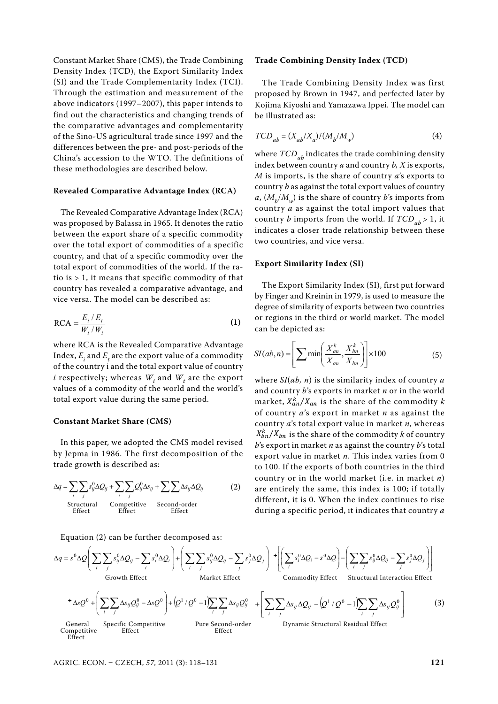Constant Market Share (CMS), the Trade Combining Density Index (TCD), the Export Similarity Index (SI) and the Trade Complementarity Index (TCI). Through the estimation and measurement of the above indicators (1997–2007), this paper intends to find out the characteristics and changing trends of the comparative advantages and complementarity of the Sino-US agricultural trade since 1997 and the differences between the pre- and post-periods of the China's accession to the WTO. The definitions of these methodologies are described below.

#### **Revealed Comparative Advantage Index (RCA)**

The Revealed Comparative Advantage Index (RCA) was proposed by Balassa in 1965. It denotes the ratio between the export share of a specific commodity over the total export of commodities of a specific country, and that of a specific commodity over the total export of commodities of the world. If the ratio is > 1, it means that specific commodity of that country has revealed a comparative advantage, and vice versa. The model can be described as:

$$
RCA = \frac{E_i/E_t}{W_i/W_t}
$$
 (1)

where RCA is the Revealed Comparative Advantage Index,  $E_i$  and  $E_t$  are the export value of a commodity of the country i and the total export value of country *i* respectively; whereas  $W_{i}$  and  $W_{t}$  are the export values of a commodity of the world and the world's total export value during the same period.

#### **Constant Market Share (CMS)**

In this paper, we adopted the CMS model revised by Jepma in 1986. The first decomposition of the trade growth is described as:

$$
\Delta q = \sum_{i} \sum_{j} s_{ij}^0 \Delta Q_{ij} + \sum_{i} \sum_{j} Q_{ij}^0 \Delta s_{ij} + \sum_{i} \sum_{j} \Delta s_{ij} \Delta Q_{ij}
$$
 (2)  
Structural Computer Science  
Effect  
Effect

Equation (2) can be further decomposed as:

#### **Trade Combining Density Index (TCD)**

The Trade Combining Density Index was first proposed by Brown in 1947, and perfected later by Kojima Kiyoshi and Yamazawa Ippei. The model can be illustrated as:

$$
TCD_{ab} = (X_{ab}/X_a)/(M_b/M_w) \tag{4}
$$

where  $TCD_{ab}$  indicates the trade combining density index between country *a* and country *b, X* is exports, *M* is imports, is the share of country *a*'s exports to country *b* as against the total export values of country  $a, (M_h/M_w)$  is the share of country *b*'s imports from country *a* as against the total import values that country *b* imports from the world. If  $TCD_{ab} > 1$ , it indicates a closer trade relationship between these two countries, and vice versa.

#### **Export Similarity Index (SI)**

The Export Similarity Index (SI), first put forward by Finger and Kreinin in 1979, is used to measure the degree of similarity of exports between two countries or regions in the third or world market. The model can be depicted as:

$$
SI(ab,n) = \left[\sum \min\left(\frac{X_{an}^k}{X_{an}}, \frac{X_{bn}^k}{X_{bn}}\right)\right] \times 100\tag{5}
$$

where *SI*(*ab, n*) is the similarity index of country *a*  and country *b*'s exports in market *n* or in the world market,  $X_{an}^k/X_{an}$  is the share of the commodity  $k$ of country *a*'s export in market *n* as against the country *a*'s total export value in market *n*, whereas  $X_{bn}^k/X_{bn}$  is the share of the commodity *k* of country *b*'s export in market *n* as against the country *b*'s total export value in market *n*. This index varies from 0 to 100. If the exports of both countries in the third country or in the world market (i.e. in market *n*) are entirely the same, this index is 100; if totally different, it is 0. When the index continues to rise during a specific period, it indicates that country *a*

$$
\Delta q = s^{0} \Delta Q \Bigg( \sum_{i} \sum_{j} s_{ij}^{0} \Delta Q_{ij} - \sum_{i} s_{i}^{0} \Delta Q_{i} \Bigg) + \Bigg( \sum_{i} \sum_{j} s_{ij}^{0} \Delta Q_{ij} - \sum_{j} s_{j}^{0} \Delta Q_{j} \Bigg) + \Bigg[ \Bigg( \sum_{i} s_{i}^{0} \Delta Q_{i} - s^{0} \Delta Q \Bigg) - \Bigg( \sum_{i} \sum_{j} s_{ij}^{0} \Delta Q_{ij} - \sum_{j} s_{j}^{0} \Delta Q_{j} \Bigg) \Bigg]
$$
\nGrowth Effect

\n
$$
+ \Delta s Q^{0} + \Bigg( \sum_{i} \sum_{j} \Delta s_{ij} Q_{ij}^{0} - \Delta s Q^{0} \Bigg) + \Bigg( Q^{1} / Q^{0} - 1 \Bigg) \sum_{i} \sum_{j} \Delta s_{ij} Q_{ij}^{0} + \Bigg[ \sum_{i} \sum_{j} \Delta s_{ij} \Delta Q_{ij} - \Bigg( Q^{1} / Q^{0} - 1 \Bigg) \sum_{i} \sum_{j} \Delta s_{ij} Q_{ij}^{0} \Bigg]
$$
\nGeneral Specific Complete Effect

\nComplete

\nTherefore, Effect

\n
$$
= \text{Effect}
$$
\nDynamic Structural Residual Effect

\n
$$
= \text{Effect}
$$
\nExample 1.1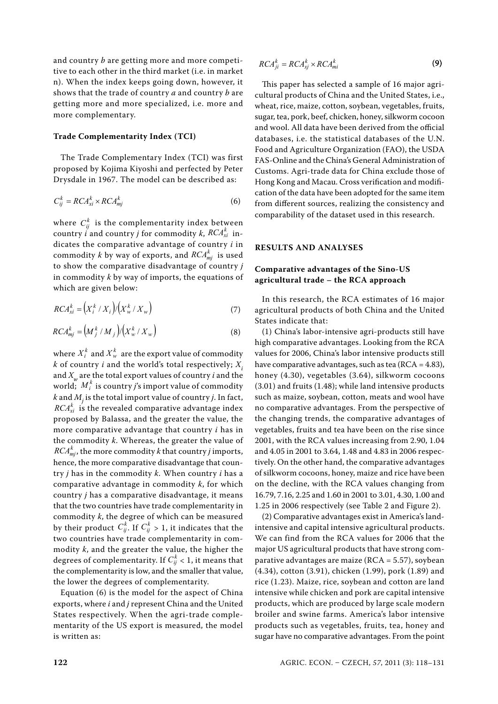and country *b* are getting more and more competitive to each other in the third market (i.e. in market n). When the index keeps going down, however, it shows that the trade of country *a* and country *b* are getting more and more specialized, i.e. more and more complementary.

#### **Trade Complementarity Index (TCI)**

The Trade Complementary Index (TCI) was first proposed by Kojima Kiyoshi and perfected by Peter Drysdale in 1967. The model can be described as:

$$
C_{ij}^k = RCA_{xi}^k \times RCA_{mj}^k \tag{6}
$$

where  $C_{ij}^k$  is the complementarity index between country  $\hat{i}$  and country  $\hat{j}$  for commodity  $k$ ,  $RCA_{xi}^{k}$  indicates the comparative advantage of country *i* in commodity *k* by way of exports, and  $RCA_{mi}^k$  is used to show the comparative disadvantage of country *j*  in commodity *k* by way of imports, the equations of which are given below:

$$
RCA_{xi}^{k} = \left(X_i^k / X_i\right) / \left(X_w^k / X_w\right) \tag{7}
$$

$$
RCA_{mj}^k = \left(M_j^k / M_j\right) / \left(X_w^k / X_w\right) \tag{8}
$$

where  $X_i^k$  and  $X_w^k$  are the export value of commodity *k* of country *i* and the world's total respectively;  $X_i$ and  $X_{\mu}$  are the total export values of country *i* and the world;  $M_i^k$  is country *j*'s import value of commodity *k* and  $M_j$  is the total import value of country *j*. In fact,  $RCA_{vi}^{k}$  is the revealed comparative advantage index proposed by Balassa, and the greater the value, the more comparative advantage that country *i* has in the commodity *k*. Whereas, the greater the value of  $RCA_{mi}^k$ , the more commodity *k* that country *j* imports, hence, the more comparative disadvantage that country *j* has in the commodity *k*. When country *i* has a comparative advantage in commodity *k*, for which country *j* has a comparative disadvantage, it means that the two countries have trade complementarity in commodity *k*, the degree of which can be measured by their product  $C_{ij}^k$ . If  $C_{ij}^k > 1$ , it indicates that the two countries have trade complementarity in commodity *k*, and the greater the value, the higher the degrees of complementarity. If  $C_{ij}^k < 1$ , it means that the complementarity is low, and the smaller that value, the lower the degrees of complementarity.

Equation (6) is the model for the aspect of China exports, where *i* and *j* represent China and the United States respectively. When the agri-trade complementarity of the US export is measured, the model is written as:

$$
RCA_{ji}^k = RCA_{xj}^k \times RCA_{mi}^k \tag{9}
$$

This paper has selected a sample of 16 major agricultural products of China and the United States, i.e., wheat, rice, maize, cotton, soybean, vegetables, fruits, sugar, tea, pork, beef, chicken, honey, silkworm cocoon and wool. All data have been derived from the official databases, i.e. the statistical databases of the U.N. Food and Agriculture Organization (FAO), the USDA FAS-Online and the China's General Administration of Customs. Agri-trade data for China exclude those of Hong Kong and Macau. Cross verification and modification of the data have been adopted for the same item from different sources, realizing the consistency and comparability of the dataset used in this research.

## **RESULTS AND ANALYSES**

# **Comparative advantages of the Sino-US agricultural trade – the RCA approach**

In this research, the RCA estimates of 16 major agricultural products of both China and the United States indicate that:

(1) China's labor-intensive agri-products still have high comparative advantages. Looking from the RCA values for 2006, China's labor intensive products still have comparative advantages, such as tea (RCA = 4.83), honey (4.30), vegetables (3.64), silkworm cocoons (3.01) and fruits (1.48); while land intensive products such as maize, soybean, cotton, meats and wool have no comparative advantages. From the perspective of the changing trends, the comparative advantages of vegetables, fruits and tea have been on the rise since 2001, with the RCA values increasing from 2.90, 1.04 and 4.05 in 2001 to 3.64, 1.48 and 4.83 in 2006 respectively. On the other hand, the comparative advantages of silkworm cocoons, honey, maize and rice have been on the decline, with the RCA values changing from 16.79, 7.16, 2.25 and 1.60 in 2001 to 3.01, 4.30, 1.00 and 1.25 in 2006 respectively (see Table 2 and Figure 2).

(2) Comparative advantages exist in America's landintensive and capital intensive agricultural products. We can find from the RCA values for 2006 that the major US agricultural products that have strong comparative advantages are maize (RCA = 5.57), soybean (4.34), cotton (3.91), chicken (1.99), pork (1.89) and rice (1.23). Maize, rice, soybean and cotton are land intensive while chicken and pork are capital intensive products, which are produced by large scale modern broiler and swine farms. America's labor intensive products such as vegetables, fruits, tea, honey and sugar have no comparative advantages. From the point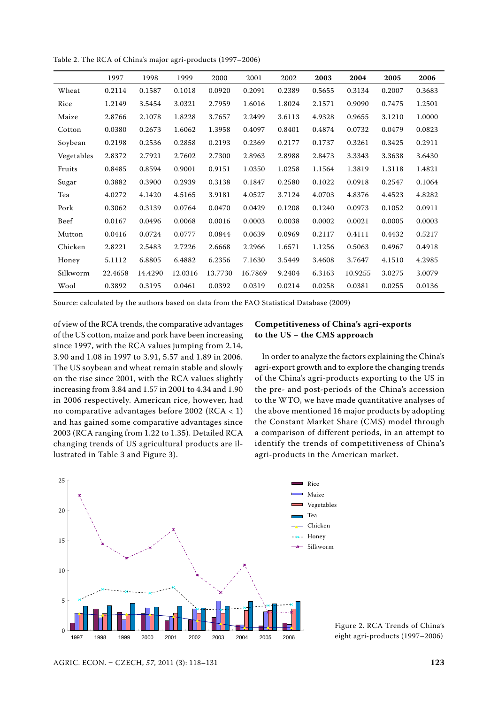Table 2. The RCA of China's major agri-products (1997–2006)

|            | 1997    | 1998    | 1999    | 2000    | 2001    | 2002   | 2003   | 2004    | 2005   | 2006   |
|------------|---------|---------|---------|---------|---------|--------|--------|---------|--------|--------|
| Wheat      | 0.2114  | 0.1587  | 0.1018  | 0.0920  | 0.2091  | 0.2389 | 0.5655 | 0.3134  | 0.2007 | 0.3683 |
| Rice       | 1.2149  | 3.5454  | 3.0321  | 2.7959  | 1.6016  | 1.8024 | 2.1571 | 0.9090  | 0.7475 | 1.2501 |
| Maize      | 2.8766  | 2.1078  | 1.8228  | 3.7657  | 2.2499  | 3.6113 | 4.9328 | 0.9655  | 3.1210 | 1.0000 |
| Cotton     | 0.0380  | 0.2673  | 1.6062  | 1.3958  | 0.4097  | 0.8401 | 0.4874 | 0.0732  | 0.0479 | 0.0823 |
| Soybean    | 0.2198  | 0.2536  | 0.2858  | 0.2193  | 0.2369  | 0.2177 | 0.1737 | 0.3261  | 0.3425 | 0.2911 |
| Vegetables | 2.8372  | 2.7921  | 2.7602  | 2.7300  | 2.8963  | 2.8988 | 2.8473 | 3.3343  | 3.3638 | 3.6430 |
| Fruits     | 0.8485  | 0.8594  | 0.9001  | 0.9151  | 1.0350  | 1.0258 | 1.1564 | 1.3819  | 1.3118 | 1.4821 |
| Sugar      | 0.3882  | 0.3900  | 0.2939  | 0.3138  | 0.1847  | 0.2580 | 0.1022 | 0.0918  | 0.2547 | 0.1064 |
| Tea        | 4.0272  | 4.1420  | 4.5165  | 3.9181  | 4.0527  | 3.7124 | 4.0703 | 4.8376  | 4.4523 | 4.8282 |
| Pork       | 0.3062  | 0.3139  | 0.0764  | 0.0470  | 0.0429  | 0.1208 | 0.1240 | 0.0973  | 0.1052 | 0.0911 |
| Beef       | 0.0167  | 0.0496  | 0.0068  | 0.0016  | 0.0003  | 0.0038 | 0.0002 | 0.0021  | 0.0005 | 0.0003 |
| Mutton     | 0.0416  | 0.0724  | 0.0777  | 0.0844  | 0.0639  | 0.0969 | 0.2117 | 0.4111  | 0.4432 | 0.5217 |
| Chicken    | 2.8221  | 2.5483  | 2.7226  | 2.6668  | 2.2966  | 1.6571 | 1.1256 | 0.5063  | 0.4967 | 0.4918 |
| Honey      | 5.1112  | 6.8805  | 6.4882  | 6.2356  | 7.1630  | 3.5449 | 3.4608 | 3.7647  | 4.1510 | 4.2985 |
| Silkworm   | 22.4658 | 14.4290 | 12.0316 | 13.7730 | 16.7869 | 9.2404 | 6.3163 | 10.9255 | 3.0275 | 3.0079 |
| Wool       | 0.3892  | 0.3195  | 0.0461  | 0.0392  | 0.0319  | 0.0214 | 0.0258 | 0.0381  | 0.0255 | 0.0136 |

Source: calculated by the authors based on data from the FAO Statistical Database (2009)

of view of the RCA trends, the comparative advantages of the US cotton, maize and pork have been increasing since 1997, with the RCA values jumping from 2.14, 3.90 and 1.08 in 1997 to 3.91, 5.57 and 1.89 in 2006. The US soybean and wheat remain stable and slowly on the rise since 2001, with the RCA values slightly increasing from 3.84 and 1.57 in 2001 to 4.34 and 1.90 in 2006 respectively. American rice, however, had no comparative advantages before 2002 (RCA < 1) and has gained some comparative advantages since 2003 (RCA ranging from 1.22 to 1.35). Detailed RCA changing trends of US agricultural products are illustrated in Table 3 and Figure 3).

# **Competitiveness of China's agri-exports to the US – the CMS approach**

In order to analyze the factors explaining the China's agri-export growth and to explore the changing trends of the China's agri-products exporting to the US in the pre- and post-periods of the China's accession to the WTO, we have made quantitative analyses of the above mentioned 16 major products by adopting the Constant Market Share (CMS) model through a comparison of different periods, in an attempt to identify the trends of competitiveness of China's agri-products in the American market.



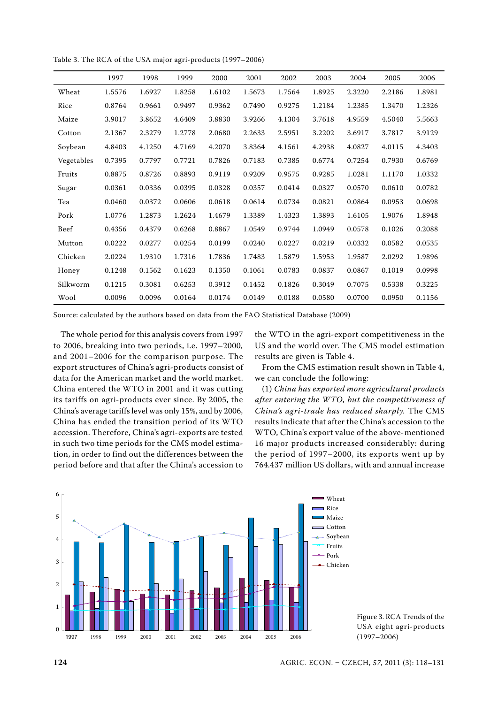Table 3. The RCA of the USA major agri-products (1997–2006)

|            | 1997   | 1998   | 1999   | 2000   | 2001   | 2002   | 2003   | 2004   | 2005   | 2006   |
|------------|--------|--------|--------|--------|--------|--------|--------|--------|--------|--------|
| Wheat      | 1.5576 | 1.6927 | 1.8258 | 1.6102 | 1.5673 | 1.7564 | 1.8925 | 2.3220 | 2.2186 | 1.8981 |
| Rice       | 0.8764 | 0.9661 | 0.9497 | 0.9362 | 0.7490 | 0.9275 | 1.2184 | 1.2385 | 1.3470 | 1.2326 |
| Maize      | 3.9017 | 3.8652 | 4.6409 | 3.8830 | 3.9266 | 4.1304 | 3.7618 | 4.9559 | 4.5040 | 5.5663 |
| Cotton     | 2.1367 | 2.3279 | 1.2778 | 2.0680 | 2.2633 | 2.5951 | 3.2202 | 3.6917 | 3.7817 | 3.9129 |
| Soybean    | 4.8403 | 4.1250 | 4.7169 | 4.2070 | 3.8364 | 4.1561 | 4.2938 | 4.0827 | 4.0115 | 4.3403 |
| Vegetables | 0.7395 | 0.7797 | 0.7721 | 0.7826 | 0.7183 | 0.7385 | 0.6774 | 0.7254 | 0.7930 | 0.6769 |
| Fruits     | 0.8875 | 0.8726 | 0.8893 | 0.9119 | 0.9209 | 0.9575 | 0.9285 | 1.0281 | 1.1170 | 1.0332 |
| Sugar      | 0.0361 | 0.0336 | 0.0395 | 0.0328 | 0.0357 | 0.0414 | 0.0327 | 0.0570 | 0.0610 | 0.0782 |
| Tea        | 0.0460 | 0.0372 | 0.0606 | 0.0618 | 0.0614 | 0.0734 | 0.0821 | 0.0864 | 0.0953 | 0.0698 |
| Pork       | 1.0776 | 1.2873 | 1.2624 | 1.4679 | 1.3389 | 1.4323 | 1.3893 | 1.6105 | 1.9076 | 1.8948 |
| Beef       | 0.4356 | 0.4379 | 0.6268 | 0.8867 | 1.0549 | 0.9744 | 1.0949 | 0.0578 | 0.1026 | 0.2088 |
| Mutton     | 0.0222 | 0.0277 | 0.0254 | 0.0199 | 0.0240 | 0.0227 | 0.0219 | 0.0332 | 0.0582 | 0.0535 |
| Chicken    | 2.0224 | 1.9310 | 1.7316 | 1.7836 | 1.7483 | 1.5879 | 1.5953 | 1.9587 | 2.0292 | 1.9896 |
| Honey      | 0.1248 | 0.1562 | 0.1623 | 0.1350 | 0.1061 | 0.0783 | 0.0837 | 0.0867 | 0.1019 | 0.0998 |
| Silkworm   | 0.1215 | 0.3081 | 0.6253 | 0.3912 | 0.1452 | 0.1826 | 0.3049 | 0.7075 | 0.5338 | 0.3225 |
| Wool       | 0.0096 | 0.0096 | 0.0164 | 0.0174 | 0.0149 | 0.0188 | 0.0580 | 0.0700 | 0.0950 | 0.1156 |

Source: calculated by the authors based on data from the FAO Statistical Database (2009)

The whole period for this analysis covers from 1997 to 2006, breaking into two periods, i.e. 1997–2000, and 2001–2006 for the comparison purpose. The export structures of China's agri-products consist of data for the American market and the world market. China entered the WTO in 2001 and it was cutting its tariffs on agri-products ever since. By 2005, the China's average tariffs level was only 15%, and by 2006, China has ended the transition period of its WTO accession. Therefore, China's agri-exports are tested in such two time periods for the CMS model estimation, in order to find out the differences between the period before and that after the China's accession to

the WTO in the agri-export competitiveness in the US and the world over. The CMS model estimation results are given is Table 4.

From the CMS estimation result shown in Table 4, we can conclude the following:

(1) *China has exported more agricultural products after entering the WTO, but the competitiveness of China's agri-trade has reduced sharply.* The CMS results indicate that after the China's accession to the WTO, China's export value of the above-mentioned 16 major products increased considerably: during the period of 1997–2000, its exports went up by 764.437 million US dollars, with and annual increase



Figure 3. RCA Trends of the USA eight agri-products (1997–2006)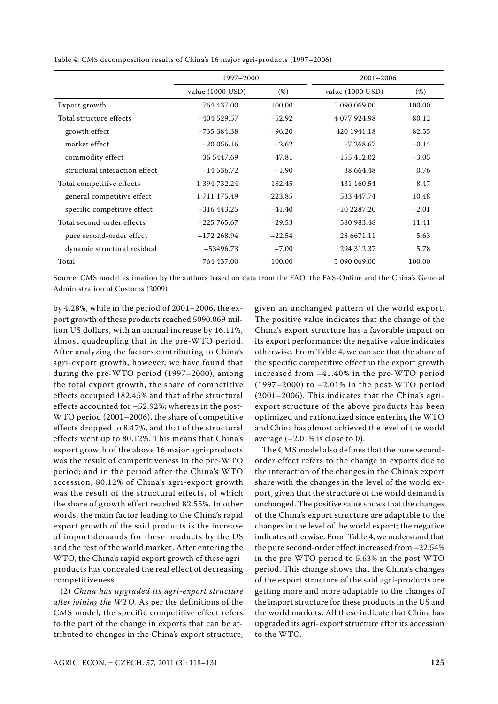|                               | 1997-2000        |          | $2001 - 2006$    |         |
|-------------------------------|------------------|----------|------------------|---------|
|                               | value (1000 USD) | (%)      | value (1000 USD) | (%)     |
| Export growth                 | 764 437.00       | 100.00   | 5 090 069.00     | 100.00  |
| Total structure effects       | $-404529.57$     | $-52.92$ | 4 077 924.98     | 80.12   |
| growth effect                 | $-735384.38$     | $-96.20$ | 420 1941.18      | 82.55   |
| market effect                 | $-20056.16$      | $-2.62$  | $-7268.67$       | $-0.14$ |
| commodity effect              | 36 5447.69       | 47.81    | $-155412.02$     | $-3.05$ |
| structural interaction effect | $-14536.72$      | $-1.90$  | 38 664.48        | 0.76    |
| Total competitive effects     | 1 394 732.24     | 182.45   | 431 160.54       | 8.47    |
| general competitive effect    | 1 711 175.49     | 223.85   | 533 447.74       | 10.48   |
| specific competitive effect   | $-316443.25$     | $-41.40$ | $-102287.20$     | $-2.01$ |
| Total second-order effects    | $-225765.67$     | $-29.53$ | 580 983.48       | 11.41   |
| pure second-order effect      | $-172268.94$     | $-22.54$ | 28 6671.11       | 5.63    |
| dynamic structural residual   | $-53496.73$      | $-7.00$  | 294 312.37       | 5.78    |
| Total                         | 764 437.00       | 100.00   | 5 090 069.00     | 100.00  |

Table 4. CMS decomposition results of China's 16 major agri-products (1997–2006)

Source: CMS model estimation by the authors based on data from the FAO, the FAS-Online and the China's General Administration of Customs (2009)

by 4.28%, while in the period of 2001–2006, the export growth of these products reached 5090.069 million US dollars, with an annual increase by 16.11%, almost quadrupling that in the pre-WTO period. After analyzing the factors contributing to China's agri-export growth, however, we have found that during the pre-WTO period (1997–2000), among the total export growth, the share of competitive effects occupied 182.45% and that of the structural effects accounted for –52.92%; whereas in the post-WTO period (2001–2006), the share of competitive effects dropped to 8.47%, and that of the structural effects went up to 80.12%. This means that China's export growth of the above 16 major agri-products was the result of competitiveness in the pre-WTO period; and in the period after the China's WTO accession, 80.12% of China's agri-export growth was the result of the structural effects, of which the share of growth effect reached 82.55%. In other words, the main factor leading to the China's rapid export growth of the said products is the increase of import demands for these products by the US and the rest of the world market. After entering the WTO, the China's rapid export growth of these agriproducts has concealed the real effect of decreasing competitiveness.

(2) *China has upgraded its agri-export structure after joining the WTO.* As per the definitions of the CMS model, the specific competitive effect refers to the part of the change in exports that can be attributed to changes in the China's export structure, given an unchanged pattern of the world export. The positive value indicates that the change of the China's export structure has a favorable impact on its export performance; the negative value indicates otherwise. From Table 4, we can see that the share of the specific competitive effect in the export growth increased from –41.40% in the pre-WTO period  $(1997–2000)$  to  $-2.01\%$  in the post-WTO period (2001–2006). This indicates that the China's agriexport structure of the above products has been optimized and rationalized since entering the WTO and China has almost achieved the level of the world average  $(-2.01\%$  is close to 0).

The CMS model also defines that the pure secondorder effect refers to the change in exports due to the interaction of the changes in the China's export share with the changes in the level of the world export, given that the structure of the world demand is unchanged. The positive value shows that the changes of the China's export structure are adaptable to the changes in the level of the world export; the negative indicates otherwise. From Table 4, we understand that the pure second-order effect increased from –22.54% in the pre-WTO period to 5.63% in the post-WTO period. This change shows that the China's changes of the export structure of the said agri-products are getting more and more adaptable to the changes of the import structure for these products in the US and the world markets. All these indicate that China has upgraded its agri-export structure after its accession to the WTO.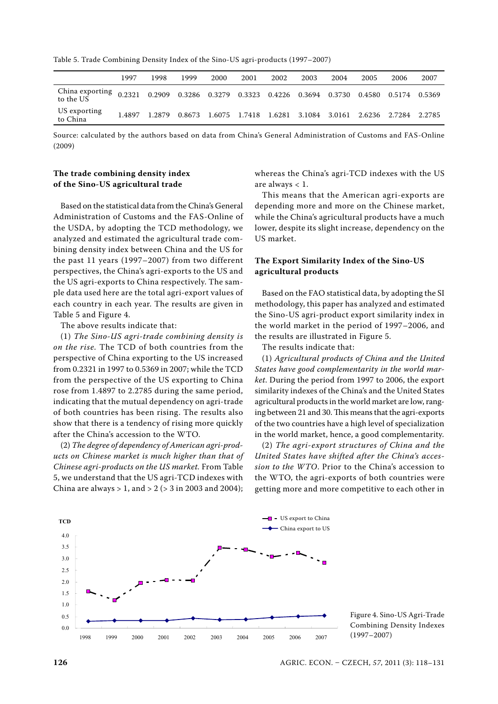Table 5. Trade Combining Density Index of the Sino-US agri-products (1997–2007)

|                                                                                      | 1997   | 1998   | 1999 | 2000 | 2001 | 2002 | 2003                                      | 2004 | 2005          | 2006          | 2007   |
|--------------------------------------------------------------------------------------|--------|--------|------|------|------|------|-------------------------------------------|------|---------------|---------------|--------|
| China exporting 0.2321 0.2909 0.3286 0.3279 0.3323 0.4226 0.3694 0.3730<br>to the US |        |        |      |      |      |      |                                           |      | 0.4580        | 0.5174 0.5369 |        |
| US exporting<br>to China                                                             | 1.4897 | 1.2879 |      |      |      |      | 0.8673 1.6075 1.7418 1.6281 3.1084 3.0161 |      | 2.6236 2.7284 |               | 2.2785 |

Source: calculated by the authors based on data from China's General Administration of Customs and FAS-Online (2009)

# **The trade combining density index of the Sino-US agricultural trade**

Based on the statistical data from the China's General Administration of Customs and the FAS-Online of the USDA, by adopting the TCD methodology, we analyzed and estimated the agricultural trade combining density index between China and the US for the past 11 years (1997–2007) from two different perspectives, the China's agri-exports to the US and the US agri-exports to China respectively. The sample data used here are the total agri-export values of each country in each year. The results are given in Table 5 and Figure 4.

The above results indicate that:

(1) *The Sino-US agri-trade combining density is on the rise.* The TCD of both countries from the perspective of China exporting to the US increased from 0.2321 in 1997 to 0.5369 in 2007; while the TCD from the perspective of the US exporting to China rose from 1.4897 to 2.2785 during the same period, indicating that the mutual dependency on agri-trade of both countries has been rising. The results also show that there is a tendency of rising more quickly after the China's accession to the WTO.

(2) *The degree of dependency of American agri-products on Chinese market is much higher than that of Chinese agri-products on the US market.* From Table 5, we understand that the US agri-TCD indexes with China are always  $> 1$ , and  $> 2$  ( $> 3$  in 2003 and 2004);

whereas the China's agri-TCD indexes with the US are always < 1.

This means that the American agri-exports are depending more and more on the Chinese market, while the China's agricultural products have a much lower, despite its slight increase, dependency on the US market.

# **The Export Similarity Index of the Sino-US agricultural products**

Based on the FAO statistical data, by adopting the SI methodology, this paper has analyzed and estimated the Sino-US agri-product export similarity index in the world market in the period of 1997–2006, and the results are illustrated in Figure 5.

The results indicate that:

(1) *Agricultural products of China and the United States have good complementarity in the world market*. During the period from 1997 to 2006, the export similarity indexes of the China's and the United States agricultural products in the world market are low, ranging between 21 and 30. This means that the agri-exports of the two countries have a high level of specialization in the world market, hence, a good complementarity.

(2) *The agri-export structures of China and the United States have shifted after the China's accession to the WTO*. Prior to the China's accession to the WTO, the agri-exports of both countries were getting more and more competitive to each other in

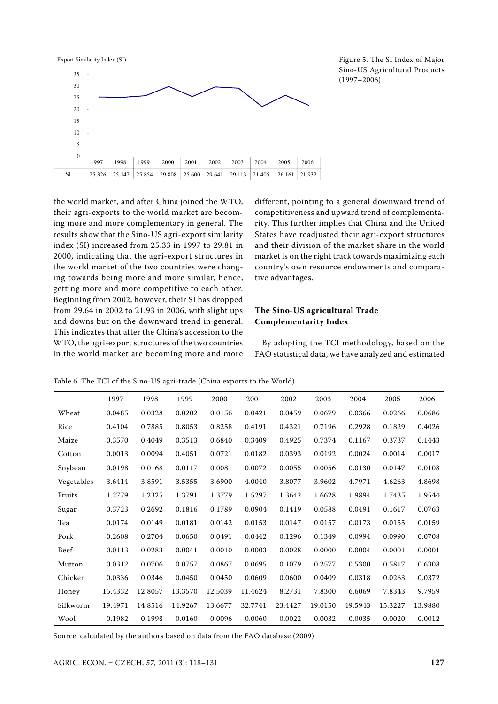

Figure 5. The SI Index of Major Sino-US Agricultural Products (1997–2006)

the world market, and after China joined the WTO, their agri-exports to the world market are becoming more and more complementary in general. The results show that the Sino-US agri-export similarity index (SI) increased from 25.33 in 1997 to 29.81 in 2000, indicating that the agri-export structures in the world market of the two countries were changing towards being more and more similar, hence, getting more and more competitive to each other. Beginning from 2002, however, their SI has dropped from 29.64 in 2002 to 21.93 in 2006, with slight ups and downs but on the downward trend in general. This indicates that after the China's accession to the WTO, the agri-export structures of the two countries in the world market are becoming more and more

different, pointing to a general downward trend of competitiveness and upward trend of complementarity. This further implies that China and the United States have readjusted their agri-export structures and their division of the market share in the world market is on the right track towards maximizing each country's own resource endowments and comparative advantages.

# **The Sino-US agricultural Trade Complementarity Index**

By adopting the TCI methodology, based on the FAO statistical data, we have analyzed and estimated

Table 6. The TCI of the Sino-US agri-trade (China exports to the World)

|            | 1997    | 1998    | 1999    | 2000    | 2001    | 2002    | 2003    | 2004    | 2005    | 2006    |
|------------|---------|---------|---------|---------|---------|---------|---------|---------|---------|---------|
| Wheat      | 0.0485  | 0.0328  | 0.0202  | 0.0156  | 0.0421  | 0.0459  | 0.0679  | 0.0366  | 0.0266  | 0.0686  |
| Rice       | 0.4104  | 0.7885  | 0.8053  | 0.8258  | 0.4191  | 0.4321  | 0.7196  | 0.2928  | 0.1829  | 0.4026  |
| Maize      | 0.3570  | 0.4049  | 0.3513  | 0.6840  | 0.3409  | 0.4925  | 0.7374  | 0.1167  | 0.3737  | 0.1443  |
| Cotton     | 0.0013  | 0.0094  | 0.4051  | 0.0721  | 0.0182  | 0.0393  | 0.0192  | 0.0024  | 0.0014  | 0.0017  |
| Soybean    | 0.0198  | 0.0168  | 0.0117  | 0.0081  | 0.0072  | 0.0055  | 0.0056  | 0.0130  | 0.0147  | 0.0108  |
| Vegetables | 3.6414  | 3.8591  | 3.5355  | 3.6900  | 4.0040  | 3.8077  | 3.9602  | 4.7971  | 4.6263  | 4.8698  |
| Fruits     | 1.2779  | 1.2325  | 1.3791  | 1.3779  | 1.5297  | 1.3642  | 1.6628  | 1.9894  | 1.7435  | 1.9544  |
| Sugar      | 0.3723  | 0.2692  | 0.1816  | 0.1789  | 0.0904  | 0.1419  | 0.0588  | 0.0491  | 0.1617  | 0.0763  |
| Tea        | 0.0174  | 0.0149  | 0.0181  | 0.0142  | 0.0153  | 0.0147  | 0.0157  | 0.0173  | 0.0155  | 0.0159  |
| Pork       | 0.2608  | 0.2704  | 0.0650  | 0.0491  | 0.0442  | 0.1296  | 0.1349  | 0.0994  | 0.0990  | 0.0708  |
| Beef       | 0.0113  | 0.0283  | 0.0041  | 0.0010  | 0.0003  | 0.0028  | 0.0000  | 0.0004  | 0.0001  | 0.0001  |
| Mutton     | 0.0312  | 0.0706  | 0.0757  | 0.0867  | 0.0695  | 0.1079  | 0.2577  | 0.5300  | 0.5817  | 0.6308  |
| Chicken    | 0.0336  | 0.0346  | 0.0450  | 0.0450  | 0.0609  | 0.0600  | 0.0409  | 0.0318  | 0.0263  | 0.0372  |
| Honey      | 15.4332 | 12.8057 | 13.3570 | 12.5039 | 11.4624 | 8.2731  | 7.8300  | 6.6069  | 7.8343  | 9.7959  |
| Silkworm   | 19.4971 | 14.8516 | 14.9267 | 13.6677 | 32.7741 | 23.4427 | 19.0150 | 49.5943 | 15.3227 | 13.9880 |
| Wool       | 0.1982  | 0.1998  | 0.0160  | 0.0096  | 0.0060  | 0.0022  | 0.0032  | 0.0035  | 0.0020  | 0.0012  |

Source: calculated by the authors based on data from the FAO database (2009)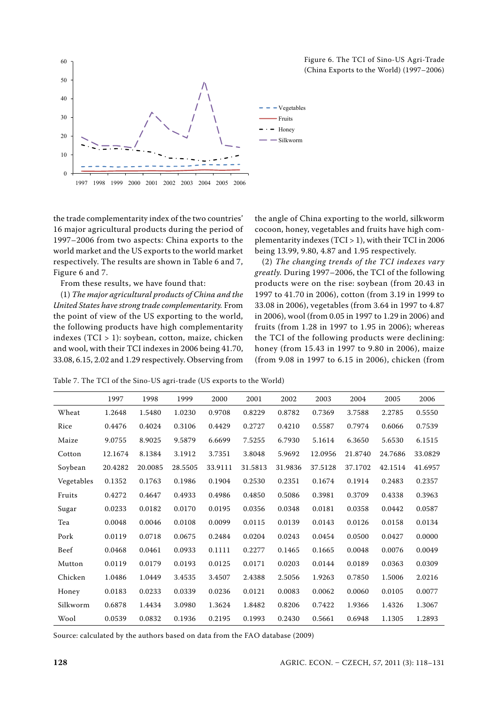

the trade complementarity index of the two countries' 16 major agricultural products during the period of 1997–2006 from two aspects: China exports to the world market and the US exports to the world market respectively. The results are shown in Table 6 and 7, the angle of China exporting to the world, silkworm cocoon, honey, vegetables and fruits have high complementarity indexes (TCI > 1), with their TCI in 2006 being 13.99, 9.80, 4.87 and 1.95 respectively.

(2) *The changing trends of the TCI indexes vary greatly.* During 1997–2006, the TCI of the following products were on the rise: soybean (from 20.43 in 1997 to 41.70 in 2006), cotton (from 3.19 in 1999 to 33.08 in 2006), vegetables (from 3.64 in 1997 to 4.87 in 2006), wool (from 0.05 in 1997 to 1.29 in 2006) and fruits (from 1.28 in 1997 to 1.95 in 2006); whereas the TCI of the following products were declining: honey (from 15.43 in 1997 to 9.80 in 2006), maize (from 9.08 in 1997 to 6.15 in 2006), chicken (from

From these results, we have found that:

Figure 6 and 7.

(1) *The major agricultural products of China and the United States have strong trade complementarity.* From the point of view of the US exporting to the world, the following products have high complementarity indexes (TCI > 1): soybean, cotton, maize, chicken and wool, with their TCI indexes in 2006 being 41.70, 33.08, 6.15, 2.02 and 1.29 respectively. Observing from

Table 7. The TCI of the Sino-US agri-trade (US exports to the World)

|            | 1997    | 1998    | 1999    | 2000    | 2001    | 2002    | 2003    | 2004    | 2005    | 2006    |
|------------|---------|---------|---------|---------|---------|---------|---------|---------|---------|---------|
| Wheat      | 1.2648  | 1.5480  | 1.0230  | 0.9708  | 0.8229  | 0.8782  | 0.7369  | 3.7588  | 2.2785  | 0.5550  |
| Rice       | 0.4476  | 0.4024  | 0.3106  | 0.4429  | 0.2727  | 0.4210  | 0.5587  | 0.7974  | 0.6066  | 0.7539  |
| Maize      | 9.0755  | 8.9025  | 9.5879  | 6.6699  | 7.5255  | 6.7930  | 5.1614  | 6.3650  | 5.6530  | 6.1515  |
| Cotton     | 12.1674 | 8.1384  | 3.1912  | 3.7351  | 3.8048  | 5.9692  | 12.0956 | 21.8740 | 24.7686 | 33.0829 |
| Soybean    | 20.4282 | 20.0085 | 28.5505 | 33.9111 | 31.5813 | 31.9836 | 37.5128 | 37.1702 | 42.1514 | 41.6957 |
| Vegetables | 0.1352  | 0.1763  | 0.1986  | 0.1904  | 0.2530  | 0.2351  | 0.1674  | 0.1914  | 0.2483  | 0.2357  |
| Fruits     | 0.4272  | 0.4647  | 0.4933  | 0.4986  | 0.4850  | 0.5086  | 0.3981  | 0.3709  | 0.4338  | 0.3963  |
| Sugar      | 0.0233  | 0.0182  | 0.0170  | 0.0195  | 0.0356  | 0.0348  | 0.0181  | 0.0358  | 0.0442  | 0.0587  |
| Tea        | 0.0048  | 0.0046  | 0.0108  | 0.0099  | 0.0115  | 0.0139  | 0.0143  | 0.0126  | 0.0158  | 0.0134  |
| Pork       | 0.0119  | 0.0718  | 0.0675  | 0.2484  | 0.0204  | 0.0243  | 0.0454  | 0.0500  | 0.0427  | 0.0000  |
| Beef       | 0.0468  | 0.0461  | 0.0933  | 0.1111  | 0.2277  | 0.1465  | 0.1665  | 0.0048  | 0.0076  | 0.0049  |
| Mutton     | 0.0119  | 0.0179  | 0.0193  | 0.0125  | 0.0171  | 0.0203  | 0.0144  | 0.0189  | 0.0363  | 0.0309  |
| Chicken    | 1.0486  | 1.0449  | 3.4535  | 3.4507  | 2.4388  | 2.5056  | 1.9263  | 0.7850  | 1.5006  | 2.0216  |
| Honey      | 0.0183  | 0.0233  | 0.0339  | 0.0236  | 0.0121  | 0.0083  | 0.0062  | 0.0060  | 0.0105  | 0.0077  |
| Silkworm   | 0.6878  | 1.4434  | 3.0980  | 1.3624  | 1.8482  | 0.8206  | 0.7422  | 1.9366  | 1.4326  | 1.3067  |
| Wool       | 0.0539  | 0.0832  | 0.1936  | 0.2195  | 0.1993  | 0.2430  | 0.5661  | 0.6948  | 1.1305  | 1.2893  |

Source: calculated by the authors based on data from the FAO database (2009)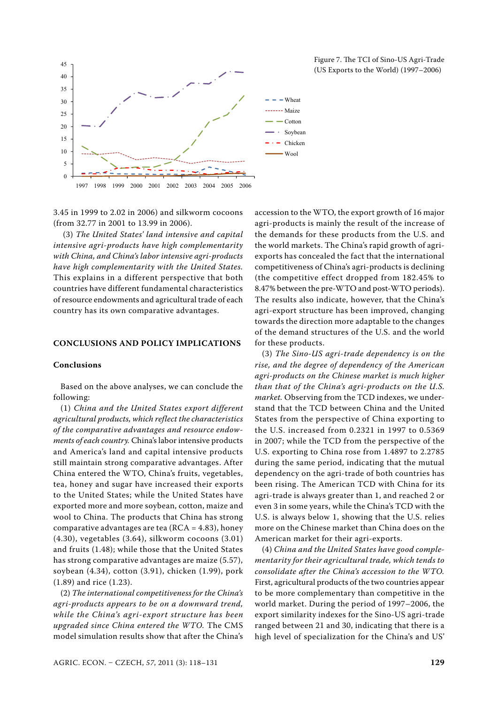



accession to the WTO, the export growth of 16 major agri-products is mainly the result of the increase of the demands for these products from the U.S. and the world markets. The China's rapid growth of agriexports has concealed the fact that the international competitiveness of China's agri-products is declining (the competitive effect dropped from 182.45% to 8.47% between the pre-WTO and post-WTO periods). The results also indicate, however, that the China's agri-export structure has been improved, changing towards the direction more adaptable to the changes of the demand structures of the U.S. and the world for these products.

(3) *The Sino-US agri-trade dependency is on the rise, and the degree of dependency of the American agri-products on the Chinese market is much higher than that of the China's agri-products on the U.S. market.* Observing from the TCD indexes, we understand that the TCD between China and the United States from the perspective of China exporting to the U.S. increased from 0.2321 in 1997 to 0.5369 in 2007; while the TCD from the perspective of the U.S. exporting to China rose from 1.4897 to 2.2785 during the same period, indicating that the mutual dependency on the agri-trade of both countries has been rising. The American TCD with China for its agri-trade is always greater than 1, and reached 2 or even 3 in some years, while the China's TCD with the U.S. is always below 1, showing that the U.S. relies more on the Chinese market than China does on the American market for their agri-exports.

(4) *China and the United States have good complementarity for their agricultural trade, which tends to consolidate after the China's accession to the WTO.*  First, agricultural products of the two countries appear to be more complementary than competitive in the world market. During the period of 1997–2006, the export similarity indexes for the Sino-US agri-trade ranged between 21 and 30, indicating that there is a high level of specialization for the China's and US'

3.45 in 1999 to 2.02 in 2006) and silkworm cocoons (from 32.77 in 2001 to 13.99 in 2006).

 (3) *The United States' land intensive and capital intensive agri-products have high complementarity with China, and China's labor intensive agri-products have high complementarity with the United States.* This explains in a different perspective that both countries have different fundamental characteristics of resource endowments and agricultural trade of each country has its own comparative advantages.

## **CONCLUSIONS AND POLICY IMPLICATIONS**

#### **Conclusions**

Based on the above analyses, we can conclude the following:

(1) *China and the United States export different agricultural products, which reflect the characteristics of the comparative advantages and resource endowments of each country.* China's labor intensive products and America's land and capital intensive products still maintain strong comparative advantages. After China entered the WTO, China's fruits, vegetables, tea, honey and sugar have increased their exports to the United States; while the United States have exported more and more soybean, cotton, maize and wool to China. The products that China has strong comparative advantages are tea ( $RCA = 4.83$ ), honey (4.30), vegetables (3.64), silkworm cocoons (3.01) and fruits (1.48); while those that the United States has strong comparative advantages are maize (5.57), soybean (4.34), cotton (3.91), chicken (1.99), pork (1.89) and rice (1.23).

(2) *The international competitiveness for the China's agri-products appears to be on a downward trend, while the China's agri-export structure has been upgraded since China entered the WTO.* The CMS model simulation results show that after the China's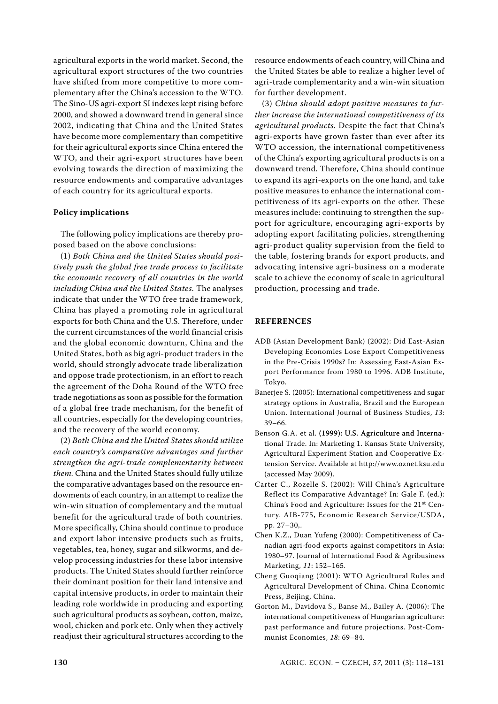agricultural exports in the world market. Second, the agricultural export structures of the two countries have shifted from more competitive to more complementary after the China's accession to the WTO. The Sino-US agri-export SI indexes kept rising before 2000, and showed a downward trend in general since 2002, indicating that China and the United States have become more complementary than competitive for their agricultural exports since China entered the WTO, and their agri-export structures have been evolving towards the direction of maximizing the resource endowments and comparative advantages of each country for its agricultural exports.

## **Policy implications**

The following policy implications are thereby proposed based on the above conclusions:

(1) *Both China and the United States should positively push the global free trade process to facilitate the economic recovery of all countries in the world including China and the United States.* The analyses indicate that under the WTO free trade framework, China has played a promoting role in agricultural exports for both China and the U.S. Therefore, under the current circumstances of the world financial crisis and the global economic downturn, China and the United States, both as big agri-product traders in the world, should strongly advocate trade liberalization and oppose trade protectionism, in an effort to reach the agreement of the Doha Round of the WTO free trade negotiations as soon as possible for the formation of a global free trade mechanism, for the benefit of all countries, especially for the developing countries, and the recovery of the world economy.

(2) *Both China and the United States should utilize each country's comparative advantages and further strengthen the agri-trade complementarity between them.* China and the United States should fully utilize the comparative advantages based on the resource endowments of each country, in an attempt to realize the win-win situation of complementary and the mutual benefit for the agricultural trade of both countries. More specifically, China should continue to produce and export labor intensive products such as fruits, vegetables, tea, honey, sugar and silkworms, and develop processing industries for these labor intensive products. The United States should further reinforce their dominant position for their land intensive and capital intensive products, in order to maintain their leading role worldwide in producing and exporting such agricultural products as soybean, cotton, maize, wool, chicken and pork etc. Only when they actively readjust their agricultural structures according to the

resource endowments of each country, will China and the United States be able to realize a higher level of agri-trade complementarity and a win-win situation for further development.

(3) *China should adopt positive measures to further increase the international competitiveness of its agricultural products.* Despite the fact that China's agri-exports have grown faster than ever after its WTO accession, the international competitiveness of the China's exporting agricultural products is on a downward trend. Therefore, China should continue to expand its agri-exports on the one hand, and take positive measures to enhance the international competitiveness of its agri-exports on the other. These measures include: continuing to strengthen the support for agriculture, encouraging agri-exports by adopting export facilitating policies, strengthening agri-product quality supervision from the field to the table, fostering brands for export products, and advocating intensive agri-business on a moderate scale to achieve the economy of scale in agricultural production, processing and trade.

## **References**

- ADB (Asian Development Bank) (2002): Did East-Asian Developing Economies Lose Export Competitiveness in the Pre-Crisis 1990s? In: Assessing East-Asian Export Performance from 1980 to 1996. ADB Institute, Tokyo.
- Banerjee S. (2005): International competitiveness and sugar strategy options in Australia, Brazil and the European Union. International Journal of Business Studies, *13*: 39–66.
- Benson G.A. et al. (1999): U.S. Agriculture and International Trade. In: Marketing 1. Kansas State University, Agricultural Experiment Station and Cooperative Extension Service. Available at http://www.oznet.ksu.edu (accessed May 2009).
- Carter C., Rozelle S. (2002): Will China's Agriculture Reflect its Comparative Advantage? In: Gale F. (ed.): China's Food and Agriculture: Issues for the 21st Century. AIB-775, Economic Research Service/USDA, pp. 27–30,.
- Chen K.Z., Duan Yufeng (2000): Competitiveness of Canadian agri-food exports against competitors in Asia: 1980–97. Journal of International Food & Agribusiness Marketing, *11*: 152–165.
- Cheng Guoqiang (2001): WTO Agricultural Rules and Agricultural Development of China. China Economic Press, Beijing, China.
- Gorton M., Davidova S., Banse M., Bailey A. (2006): The international competitiveness of Hungarian agriculture: past performance and future projections. Post-Communist Economies, *18*: 69–84.